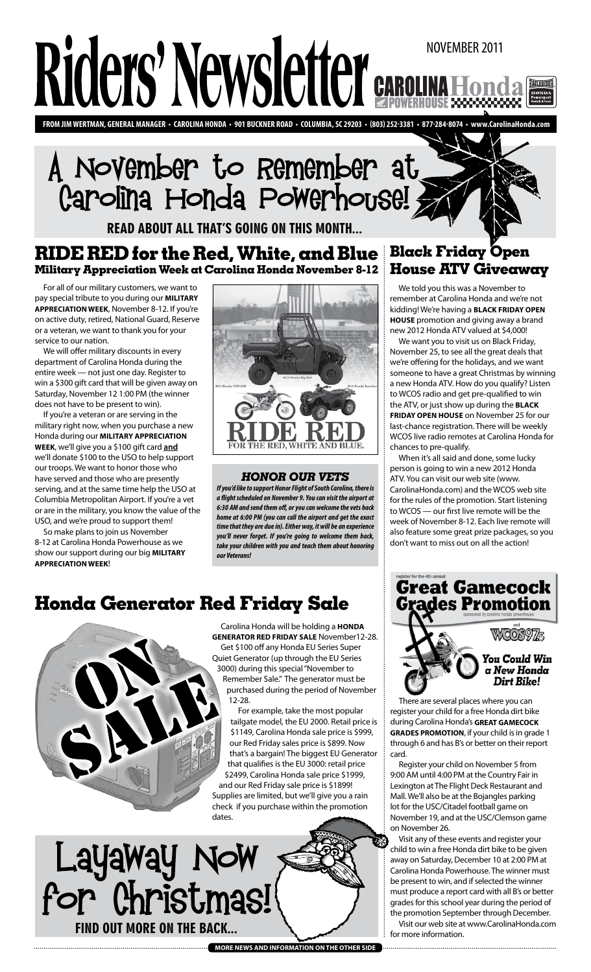# Riders' Newsletter november 2011 **EAGLERIDER**

**from Jim wertman, general manager • carolina honda • 901 Buckner Road • Columbia, SC 29203 • (803) 252-3381 • 877-284-8074 • www.CarolinaHonda.com**

# November to Remember at Carolina Honda Powerhouse!

read about all that's going on this month...

## **Black Friday Open RIDE RED for the Red, White, and Blue Military Appreciation Week at Carolina Honda November 8-12**

For all of our military customers, we want to pay special tribute to you during our **Military Appreciation Week**, November 8-12. If you're on active duty, retired, National Guard, Reserve or a veteran, we want to thank you for your service to our nation.

We will offer military discounts in every department of Carolina Honda during the entire week — not just one day. Register to win a \$300 gift card that will be given away on Saturday, November 12 1:00 PM (the winner does not have to be present to win).

If you're a veteran or are serving in the military right now, when you purchase a new Honda during our **Military Appreciation Week**, we'll give you a \$100 gift card **and** we'll donate \$100 to the USO to help support our troops. We want to honor those who have served and those who are presently serving, and at the same time help the USO at Columbia Metropolitan Airport. If you're a vet or are in the military, you know the value of the USO, and we're proud to support them!

So make plans to join us November 8-12 at Carolina Honda Powerhouse as we show our support during our big **Military Appreciation Week**!



## *honor our vets*

*If you'd like to support Honor Flight of South Carolina, there is a flight scheduled on November 9. You can visit the airport at 6:30 AM and send them off, or you can welcome the vets back home at 6:00 PM (you can call the airport and get the exact time that they are due in). Either way, it will be an experience you'll never forget. If you're going to welcome them back, take your children with you and teach them about honoring our Veterans!*

## **Honda Generator Red Friday Sale**



Carolina Honda will be holding a **Honda Generator Red Friday Sale** November12-28. Get \$100 off any Honda EU Series Super Quiet Generator (up through the EU Series 3000) during this special "November to Remember Sale." The generator must be purchased during the period of November 12-28.

For example, take the most popular tailgate model, the EU 2000. Retail price is \$1149, Carolina Honda sale price is \$999, our Red Friday sales price is \$899. Now that's a bargain! The biggest EU Generator that qualifies is the EU 3000: retail price \$2499, Carolina Honda sale price \$1999, and our Red Friday sale price is \$1899! Supplies are limited, but we'll give you a rain check if you purchase within the promotion dates.



## **more news and information on the other side**

# **House ATV Giveaway**

We told you this was a November to remember at Carolina Honda and we're not kidding! We're having a **Black Friday Open House** promotion and giving away a brand new 2012 Honda ATV valued at \$4,000!

We want you to visit us on Black Friday, November 25, to see all the great deals that we're offering for the holidays, and we want someone to have a great Christmas by winning a new Honda ATV. How do you qualify? Listen to WCOS radio and get pre-qualified to win the ATV, or just show up during the **Black Friday Open House** on November 25 for our last-chance registration. There will be weekly WCOS live radio remotes at Carolina Honda for chances to pre-qualify.

When it's all said and done, some lucky person is going to win a new 2012 Honda ATV. You can visit our web site (www. CarolinaHonda.com) and the WCOS web site for the rules of the promotion. Start listening to WCOS — our first live remote will be the week of November 8-12. Each live remote will also feature some great prize packages, so you don't want to miss out on all the action!

**Great Gamecock Grades Promotion** 



## You Could Win a New Honda **Dirt Bike!**

There are several places where you can register your child for a free Honda dirt bike during Carolina Honda's **Great Gamecock Grades Promotion**, if your child is in grade 1 through 6 and has B's or better on their report card.

Register your child on November 5 from 9:00 AM until 4:00 PM at the Country Fair in Lexington at The Flight Deck Restaurant and Mall. We'll also be at the Bojangles parking lot for the USC/Citadel football game on November 19, and at the USC/Clemson game on November 26.

Visit any of these events and register your child to win a free Honda dirt bike to be given away on Saturday, December 10 at 2:00 PM at Carolina Honda Powerhouse. The winner must be present to win, and if selected the winner must produce a report card with all B's or better grades for this school year during the period of the promotion September through December.

Visit our web site at www.CarolinaHonda.com for more information.